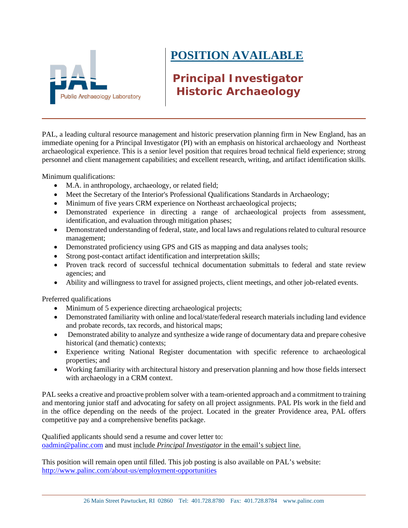

## **POSITION AVAILABLE**

## **Principal Investigator Historic Archaeology**

PAL, a leading cultural resource management and historic preservation planning firm in New England, has an immediate opening for a Principal Investigator (PI) with an emphasis on historical archaeology and Northeast archaeological experience. This is a senior level position that requires broad technical field experience; strong personnel and client management capabilities; and excellent research, writing, and artifact identification skills.

Minimum qualifications:

- M.A. in anthropology, archaeology, or related field;
- Meet the Secretary of the Interior's Professional Qualifications Standards in Archaeology;
- Minimum of five years CRM experience on Northeast archaeological projects;
- Demonstrated experience in directing a range of archaeological projects from assessment, identification, and evaluation through mitigation phases;
- Demonstrated understanding of federal, state, and local laws and regulations related to cultural resource management;
- Demonstrated proficiency using GPS and GIS as mapping and data analyses tools;
- Strong post-contact artifact identification and interpretation skills;
- Proven track record of successful technical documentation submittals to federal and state review agencies; and
- Ability and willingness to travel for assigned projects, client meetings, and other job-related events.

Preferred qualifications

- Minimum of 5 experience directing archaeological projects;
- Demonstrated familiarity with online and local/state/federal research materials including land evidence and probate records, tax records, and historical maps;
- Demonstrated ability to analyze and synthesize a wide range of documentary data and prepare cohesive historical (and thematic) contexts;
- Experience writing National Register documentation with specific reference to archaeological properties; and
- Working familiarity with architectural history and preservation planning and how those fields intersect with archaeology in a CRM context.

PAL seeks a creative and proactive problem solver with a team-oriented approach and a commitment to training and mentoring junior staff and advocating for safety on all project assignments. PAL PIs work in the field and in the office depending on the needs of the project. Located in the greater Providence area, PAL offers competitive pay and a comprehensive benefits package.

Qualified applicants should send a resume and cover letter to: oadmin@palinc.com and must include *Principal Investigator* in the email's subject line.

This position will remain open until filled. This job posting is also available on PAL's website: <http://www.palinc.com/about-us/employment-opportunities>